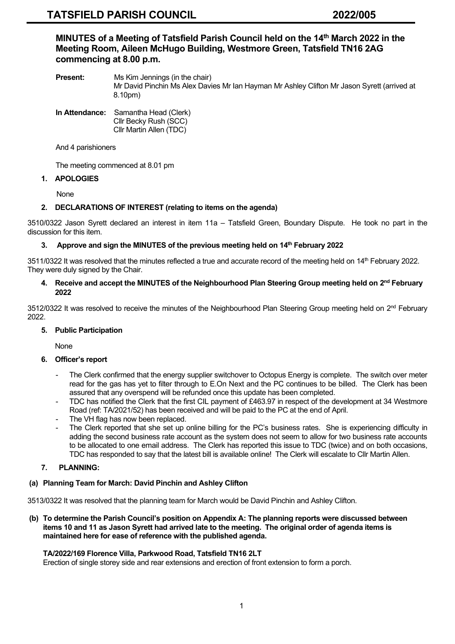**MINUTES of a Meeting of Tatsfield Parish Council held on the 14 th March 2022 in the Meeting Room, Aileen McHugo Building, Westmore Green, Tatsfield TN16 2AG commencing at 8.00 p.m.**

**Present:** Ms Kim Jennings (in the chair) Mr David Pinchin Ms Alex Davies Mr Ian Hayman Mr Ashley Clifton Mr Jason Syrett (arrived at 8.10pm)

#### **In Attendance:** Samantha Head (Clerk) Cllr Becky Rush (SCC) Cllr Martin Allen (TDC)

And 4 parishioners

The meeting commenced at 8.01 pm

# **1. APOLOGIES**

None

# **2. DECLARATIONS OF INTEREST (relating to items on the agenda)**

3510/0322 Jason Syrett declared an interest in item 11a – Tatsfield Green, Boundary Dispute. He took no part in the discussion for this item.

# **3. Approve and sign the MINUTES of the previous meeting held on 14 th February 2022**

3511/0322 It was resolved that the minutes reflected a true and accurate record of the meeting held on 14 th February 2022. They were duly signed by the Chair.

### **4. Receive and accept the MINUTES of the Neighbourhood Plan Steering Group meeting held on 2 nd February 2022**

3512/0322 It was resolved to receive the minutes of the Neighbourhood Plan Steering Group meeting held on 2<sup>nd</sup> February 2022.

# **5. Public Participation**

None

#### **6. Officer's report**

- The Clerk confirmed that the energy supplier switchover to Octopus Energy is complete. The switch over meter read for the gas has yet to filter through to E.On Next and the PC continues to be billed. The Clerk has been assured that any overspend will be refunded once this update has been completed.
- TDC has notified the Clerk that the first CIL payment of £463.97 in respect of the development at 34 Westmore Road (ref: TA/2021/52) has been received and will be paid to the PC at the end of April.
- The VH flag has now been replaced.
- The Clerk reported that she set up online billing for the PC's business rates. She is experiencing difficulty in adding the second business rate account as the system does not seem to allow for two business rate accounts to be allocated to one email address. The Clerk has reported this issue to TDC (twice) and on both occasions, TDC has responded to say that the latest bill is available online! The Clerk will escalate to Cllr Martin Allen.

# **7. PLANNING:**

# **(a) Planning Team for March: David Pinchin and Ashley Clifton**

3513/0322 It was resolved that the planning team for March would be David Pinchin and Ashley Clifton.

**(b) To determine the Parish Council's position on Appendix A: The planning reports were discussed between items 10 and 11 as Jason Syrett had arrived late to the meeting. The original order of agenda items is maintained here for ease of reference with the published agenda.**

# **TA/2022/169 Florence Villa, Parkwood Road, Tatsfield TN16 2LT**

Erection of single storey side and rear extensions and erection of front extension to form a porch.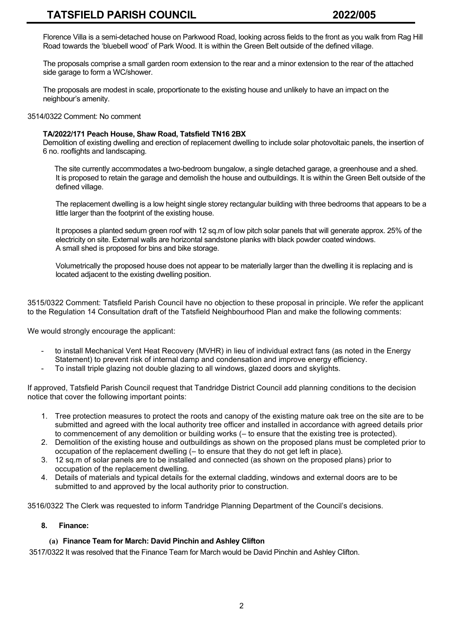Florence Villa is a semi-detached house on Parkwood Road, looking across fields to the front as you walk from Rag Hill Road towards the 'bluebell wood' of Park Wood. It is within the Green Belt outside of the defined village.

The proposals comprise a small garden room extension to the rear and a minor extension to the rear of the attached side garage to form a WC/shower.

The proposals are modest in scale, proportionate to the existing house and unlikely to have an impact on the neighbour's amenity.

3514/0322 Comment: No comment

# **TA/2022/171 Peach House, Shaw Road, Tatsfield TN16 2BX**

Demolition of existing dwelling and erection of replacement dwelling to include solar photovoltaic panels, the insertion of 6 no. rooflights and landscaping.

 The site currently accommodates a two-bedroom bungalow, a single detached garage, a greenhouse and a shed. It is proposed to retain the garage and demolish the house and outbuildings. It is within the Green Belt outside of the defined village.

The replacement dwelling is a low height single storey rectangular building with three bedrooms that appears to be a little larger than the footprint of the existing house.

It proposes a planted sedum green roof with 12 sq.m of low pitch solar panels that will generate approx. 25% of the electricity on site. External walls are horizontal sandstone planks with black powder coated windows. A small shed is proposed for bins and bike storage.

Volumetrically the proposed house does not appear to be materially larger than the dwelling it is replacing and is located adjacent to the existing dwelling position.

3515/0322 Comment: Tatsfield Parish Council have no objection to these proposal in principle. We refer the applicant to the Regulation 14 Consultation draft of the Tatsfield Neighbourhood Plan and make the following comments:

We would strongly encourage the applicant:

- to install Mechanical Vent Heat Recovery (MVHR) in lieu of individual extract fans (as noted in the Energy Statement) to prevent risk of internal damp and condensation and improve energy efficiency.
- To install triple glazing not double glazing to all windows, glazed doors and skylights.

If approved, Tatsfield Parish Council request that Tandridge District Council add planning conditions to the decision notice that cover the following important points:

- 1. Tree protection measures to protect the roots and canopy of the existing mature oak tree on the site are to be submitted and agreed with the local authority tree officer and installed in accordance with agreed details prior to commencement of any demolition or building works (– to ensure that the existing tree is protected).
- 2. Demolition of the existing house and outbuildings as shown on the proposed plans must be completed prior to occupation of the replacement dwelling (– to ensure that they do not get left in place).
- 3. 12 sq.m of solar panels are to be installed and connected (as shown on the proposed plans) prior to occupation of the replacement dwelling.
- 4. Details of materials and typical details for the external cladding, windows and external doors are to be submitted to and approved by the local authority prior to construction.

3516/0322 The Clerk was requested to inform Tandridge Planning Department of the Council's decisions.

# **8. Finance:**

# **(a) Finance Team for March: David Pinchin and Ashley Clifton**

3517/0322 It was resolved that the Finance Team for March would be David Pinchin and Ashley Clifton.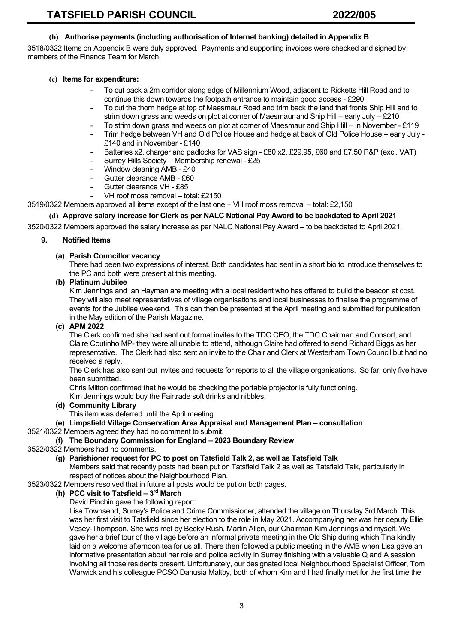# **(b) Authorise payments (including authorisation of Internet banking) detailed in Appendix B**

3518/0322 Items on Appendix B were duly approved. Payments and supporting invoices were checked and signed by members of the Finance Team for March.

# **(c) Items for expenditure:**

- To cut back a 2m corridor along edge of Millennium Wood, adjacent to Ricketts Hill Road and to continue this down towards the footpath entrance to maintain good access - £290
- To cut the thorn hedge at top of Maesmaur Road and trim back the land that fronts Ship Hill and to strim down grass and weeds on plot at corner of Maesmaur and Ship Hill – early July – £210
- To strim down grass and weeds on plot at corner of Maesmaur and Ship Hill in November £119
- Trim hedge between VH and Old Police House and hedge at back of Old Police House early July £140 and in November - £140
- Batteries x2, charger and padlocks for VAS sign £80 x2, £29.95, £60 and £7.50 P&P (excl. VAT)
- Surrey Hills Society Membership renewal £25
- Window cleaning AMB £40
- Gutter clearance AMB £60
- Gutter clearance VH £85
- VH roof moss removal total: £2150

3519/0322 Members approved all items except of the last one – VH roof moss removal – total: £2,150

# **(d) Approve salary increase for Clerk as per NALC National Pay Award to be backdated to April 2021**

3520/0322 Members approved the salary increase as per NALC National Pay Award – to be backdated to April 2021.

#### **9. Notified Items**

### **(a) Parish Councillor vacancy**

There had been two expressions of interest. Both candidates had sent in a short bio to introduce themselves to the PC and both were present at this meeting.

# **(b) Platinum Jubilee**

Kim Jennings and Ian Hayman are meeting with a local resident who has offered to build the beacon at cost. They will also meet representatives of village organisations and local businesses to finalise the programme of events for the Jubilee weekend. This can then be presented at the April meeting and submitted for publication in the May edition of the Parish Magazine.

### **(c) APM 2022**

The Clerk confirmed she had sent out formal invites to the TDC CEO, the TDC Chairman and Consort, and Claire Coutinho MP- they were all unable to attend, although Claire had offered to send Richard Biggs as her representative. The Clerk had also sent an invite to the Chair and Clerk at Westerham Town Council but had no received a reply.

The Clerk has also sent out invites and requests for reports to all the village organisations. So far, only five have been submitted.

Chris Mitton confirmed that he would be checking the portable projector is fully functioning. Kim Jennings would buy the Fairtrade soft drinks and nibbles.

#### **(d) Community Library**

This item was deferred until the April meeting.

#### **(e) Limpsfield Village Conservation Area Appraisal and Management Plan – consultation**

3521/0322 Members agreed they had no comment to submit.

#### **(f) The Boundary Commission for England – 2023 Boundary Review**

### 3522/0322 Members had no comments.

# **(g) Parishioner request for PC to post on Tatsfield Talk 2, as well as Tatsfield Talk**

Members said that recently posts had been put on Tatsfield Talk 2 as well as Tatsfield Talk, particularly in respect of notices about the Neighbourhood Plan.

3523/0322 Members resolved that in future all posts would be put on both pages.

### **(h) PCC visit to Tatsfield – 3 rd March**

David Pinchin gave the following report:

Lisa Townsend, Surrey's Police and Crime Commissioner, attended the village on Thursday 3rd March. This was her first visit to Tatsfield since her election to the role in May 2021. Accompanying her was her deputy Ellie Vesey-Thompson. She was met by Becky Rush, Martin Allen, our Chairman Kim Jennings and myself. We gave her a brief tour of the village before an informal private meeting in the Old Ship during which Tina kindly laid on a welcome afternoon tea for us all. There then followed a public meeting in the AMB when Lisa gave an informative presentation about her role and police activity in Surrey finishing with a valuable Q and A session involving all those residents present. Unfortunately, our designated local Neighbourhood Specialist Officer, Tom Warwick and his colleague PCSO Danusia Maltby, both of whom Kim and I had finally met for the first time the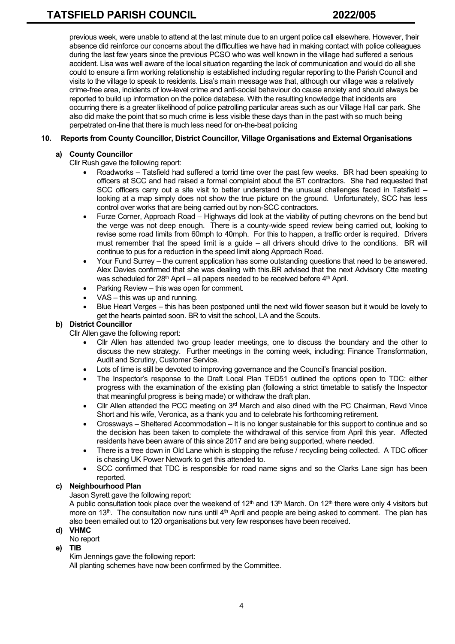previous week, were unable to attend at the last minute due to an urgent police call elsewhere. However, their absence did reinforce our concerns about the difficulties we have had in making contact with police colleagues during the last few years since the previous PCSO who was well known in the village had suffered a serious accident. Lisa was well aware of the local situation regarding the lack of communication and would do all she could to ensure a firm working relationship is established including regular reporting to the Parish Council and visits to the village to speak to residents. Lisa's main message was that, although our village was a relatively crime-free area, incidents of low-level crime and anti-social behaviour do cause anxiety and should always be reported to build up information on the police database. With the resulting knowledge that incidents are occurring there is a greater likelihood of police patrolling particular areas such as our Village Hall car park. She also did make the point that so much crime is less visible these days than in the past with so much being perpetrated on-line that there is much less need for on-the-beat policing

# **10. Reports from County Councillor, District Councillor, Village Organisations and External Organisations**

# **a) County Councillor**

Cllr Rush gave the following report:

- Roadworks Tatsfield had suffered a torrid time over the past few weeks. BR had been speaking to officers at SCC and had raised a formal complaint about the BT contractors. She had requested that SCC officers carry out a site visit to better understand the unusual challenges faced in Tatsfield – looking at a map simply does not show the true picture on the ground. Unfortunately, SCC has less control over works that are being carried out by non-SCC contractors.
- Furze Corner, Approach Road Highways did look at the viability of putting chevrons on the bend but the verge was not deep enough. There is a county-wide speed review being carried out, looking to revise some road limits from 60mph to 40mph. For this to happen, a traffic order is required. Drivers must remember that the speed limit is a guide – all drivers should drive to the conditions. BR will continue to pus for a reduction in the speed limit along Approach Road.
- Your Fund Surrey the current application has some outstanding questions that need to be answered. Alex Davies confirmed that she was dealing with this.BR advised that the next Advisory Ctte meeting was scheduled for  $28<sup>th</sup>$  April – all papers needed to be received before  $4<sup>th</sup>$  April.
- Parking Review this was open for comment.
- VAS this was up and running.
- Blue Heart Verges this has been postponed until the next wild flower season but it would be lovely to get the hearts painted soon. BR to visit the school, LA and the Scouts.

# **b) District Councillor**

Cllr Allen gave the following report:

- Cllr Allen has attended two group leader meetings, one to discuss the boundary and the other to discuss the new strategy. Further meetings in the coming week, including: Finance Transformation, Audit and Scrutiny, Customer Service.
- Lots of time is still be devoted to improving governance and the Council's financial position.
- The Inspector's response to the Draft Local Plan TED51 outlined the options open to TDC: either progress with the examination of the existing plan (following a strict timetable to satisfy the Inspector that meaningful progress is being made) or withdraw the draft plan.
- Cllr Allen attended the PCC meeting on  $3<sup>rd</sup>$  March and also dined with the PC Chairman, Revd Vince Short and his wife, Veronica, as a thank you and to celebrate his forthcoming retirement.
- Crossways Sheltered Accommodation It is no longer sustainable for this support to continue and so the decision has been taken to complete the withdrawal of this service from April this year. Affected residents have been aware of this since 2017 and are being supported, where needed.
- There is a tree down in Old Lane which is stopping the refuse / recycling being collected. A TDC officer is chasing UK Power Network to get this attended to.
- SCC confirmed that TDC is responsible for road name signs and so the Clarks Lane sign has been reported.

# **c) Neighbourhood Plan**

Jason Syrett gave the following report:

A public consultation took place over the weekend of  $12<sup>th</sup>$  and  $13<sup>th</sup>$  March. On  $12<sup>th</sup>$  there were only 4 visitors but more on 13<sup>th</sup>. The consultation now runs until  $4<sup>th</sup>$  April and people are being asked to comment. The plan has also been emailed out to 120 organisations but very few responses have been received.

# **d) VHMC**

No report

# **e) TIB**

Kim Jennings gave the following report:

All planting schemes have now been confirmed by the Committee.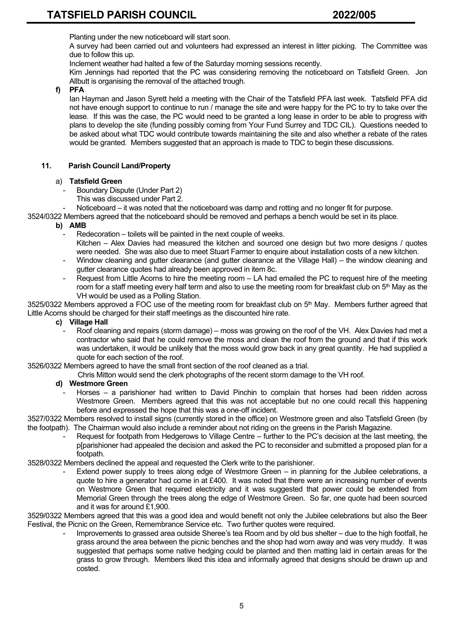Planting under the new noticeboard will start soon.

A survey had been carried out and volunteers had expressed an interest in litter picking. The Committee was due to follow this up.

Inclement weather had halted a few of the Saturday morning sessions recently.

Kim Jennings had reported that the PC was considering removing the noticeboard on Tatsfield Green. Jon Allbutt is organising the removal of the attached trough.

# **f) PFA**

Ian Hayman and Jason Syrett held a meeting with the Chair of the Tatsfield PFA last week. Tatsfield PFA did not have enough support to continue to run / manage the site and were happy for the PC to try to take over the lease. If this was the case, the PC would need to be granted a long lease in order to be able to progress with plans to develop the site (funding possibly coming from Your Fund Surrey and TDC CIL). Questions needed to be asked about what TDC would contribute towards maintaining the site and also whether a rebate of the rates would be granted. Members suggested that an approach is made to TDC to begin these discussions.

# **11. Parish Council Land/Property**

# a) **Tatsfield Green**

- Boundary Dispute (Under Part 2)
	- This was discussed under Part 2.
- Noticeboard it was noted that the noticeboard was damp and rotting and no longer fit for purpose.

3524/0322 Members agreed that the noticeboard should be removed and perhaps a bench would be set in its place.

# **b) AMB**

- Redecoration toilets will be painted in the next couple of weeks. Kitchen – Alex Davies had measured the kitchen and sourced one design but two more designs / quotes were needed. She was also due to meet Stuart Farmer to enquire about installation costs of a new kitchen.
- Window cleaning and gutter clearance (and gutter clearance at the Village Hall) the window cleaning and gutter clearance quotes had already been approved in item 8c.
- Request from Little Acorns to hire the meeting room LA had emailed the PC to request hire of the meeting room for a staff meeting every half term and also to use the meeting room for breakfast club on 5<sup>th</sup> May as the VH would be used as a Polling Station.

3525/0322 Members approved a FOC use of the meeting room for breakfast club on  $5<sup>th</sup>$  May. Members further agreed that Little Acorns should be charged for their staff meetings as the discounted hire rate.

### **c) Village Hall**

Roof cleaning and repairs (storm damage) – moss was growing on the roof of the VH. Alex Davies had met a contractor who said that he could remove the moss and clean the roof from the ground and that if this work was undertaken, it would be unlikely that the moss would grow back in any great quantity. He had supplied a quote for each section of the roof.

3526/0322 Members agreed to have the small front section of the roof cleaned as a trial.

Chris Mitton would send the clerk photographs of the recent storm damage to the VH roof.

### **d) Westmore Green**

Horses – a parishioner had written to David Pinchin to complain that horses had been ridden across Westmore Green. Members agreed that this was not acceptable but no one could recall this happening before and expressed the hope that this was a one-off incident.

3527/0322 Members resolved to install signs (currently stored in the office) on Westmore green and also Tatsfield Green (by the footpath). The Chairman would also include a reminder about not riding on the greens in the Parish Magazine.

Request for footpath from Hedgerows to Village Centre – further to the PC's decision at the last meeting, the p[parishioner had appealed the decision and asked the PC to reconsider and submitted a proposed plan for a footpath.

3528/0322 Members declined the appeal and requested the Clerk write to the parishioner.

Extend power supply to trees along edge of Westmore Green – in planning for the Jubilee celebrations, a quote to hire a generator had come in at £400. It was noted that there were an increasing number of events on Westmore Green that required electricity and it was suggested that power could be extended from Memorial Green through the trees along the edge of Westmore Green. So far, one quote had been sourced and it was for around £1,900.

3529/0322 Members agreed that this was a good idea and would benefit not only the Jubilee celebrations but also the Beer Festival, the Picnic on the Green, Remembrance Service etc. Two further quotes were required.

> Improvements to grassed area outside Sheree's tea Room and by old bus shelter – due to the high footfall, he grass around the area between the picnic benches and the shop had worn away and was very muddy. It was suggested that perhaps some native hedging could be planted and then matting laid in certain areas for the grass to grow through. Members liked this idea and informally agreed that designs should be drawn up and costed.